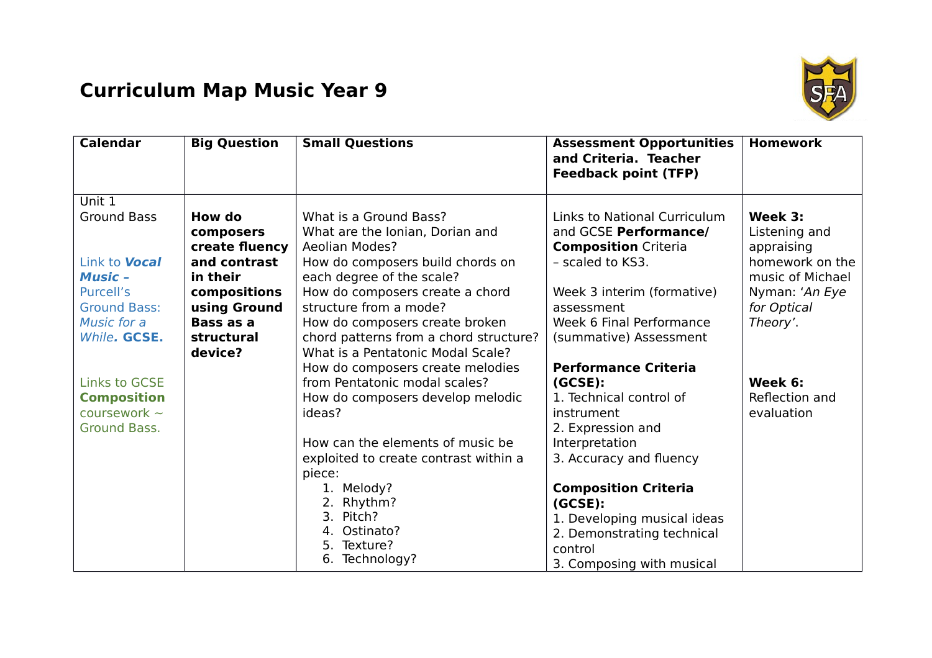## **Curriculum Map Music Year 9**



| <b>Calendar</b>                   | <b>Big Question</b>         | <b>Small Questions</b>                                    | <b>Assessment Opportunities</b><br>and Criteria. Teacher<br><b>Feedback point (TFP)</b> | <b>Homework</b>          |
|-----------------------------------|-----------------------------|-----------------------------------------------------------|-----------------------------------------------------------------------------------------|--------------------------|
| Unit 1                            |                             |                                                           |                                                                                         |                          |
| <b>Ground Bass</b>                | How do                      | What is a Ground Bass?<br>What are the Ionian, Dorian and | Links to National Curriculum<br>and GCSE Performance/                                   | Week 3:<br>Listening and |
|                                   | composers<br>create fluency | <b>Aeolian Modes?</b>                                     | <b>Composition</b> Criteria                                                             | appraising               |
| Link to <b>Vocal</b>              | and contrast                | How do composers build chords on                          | - scaled to KS3.                                                                        | homework on the          |
| <b>Music -</b>                    | in their                    | each degree of the scale?                                 |                                                                                         | music of Michael         |
| Purcell's                         | compositions                | How do composers create a chord                           | Week 3 interim (formative)                                                              | Nyman: 'An Eye           |
| <b>Ground Bass:</b>               | using Ground                | structure from a mode?                                    | assessment                                                                              | for Optical              |
| Music for a                       | Bass as a                   | How do composers create broken                            | Week 6 Final Performance                                                                | Theory'.                 |
| While. GCSE.                      | structural                  | chord patterns from a chord structure?                    | (summative) Assessment                                                                  |                          |
|                                   | device?                     | What is a Pentatonic Modal Scale?                         |                                                                                         |                          |
|                                   |                             | How do composers create melodies                          | <b>Performance Criteria</b>                                                             |                          |
| <b>Links to GCSE</b>              |                             | from Pentatonic modal scales?                             | (GCSE):                                                                                 | Week 6:                  |
| <b>Composition</b>                |                             | How do composers develop melodic                          | 1. Technical control of                                                                 | Reflection and           |
| coursework $\sim$<br>Ground Bass. |                             | ideas?                                                    | instrument<br>2. Expression and                                                         | evaluation               |
|                                   |                             | How can the elements of music be                          | Interpretation                                                                          |                          |
|                                   |                             | exploited to create contrast within a                     | 3. Accuracy and fluency                                                                 |                          |
|                                   |                             | piece:                                                    |                                                                                         |                          |
|                                   |                             | 1. Melody?                                                | <b>Composition Criteria</b>                                                             |                          |
|                                   |                             | 2. Rhythm?                                                | (GCSE):                                                                                 |                          |
|                                   |                             | 3. Pitch?                                                 | 1. Developing musical ideas                                                             |                          |
|                                   |                             | 4. Ostinato?                                              | 2. Demonstrating technical                                                              |                          |
|                                   |                             | 5. Texture?                                               | control                                                                                 |                          |
|                                   |                             | 6. Technology?                                            | 3. Composing with musical                                                               |                          |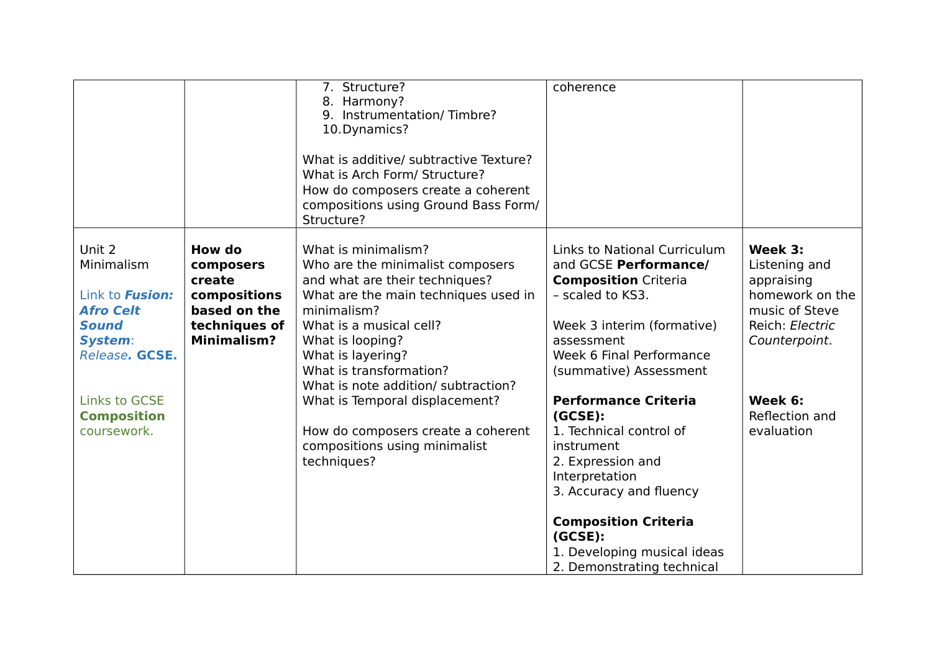|                                                                                                                        |                                                                                                      | 7. Structure?<br>8. Harmony?<br>9. Instrumentation/Timbre?<br>10. Dynamics?<br>What is additive/ subtractive Texture?<br>What is Arch Form/ Structure?<br>How do composers create a coherent<br>compositions using Ground Bass Form/<br>Structure?                                     | coherence                                                                                                                                                                                                                                                |                                                                                                                 |
|------------------------------------------------------------------------------------------------------------------------|------------------------------------------------------------------------------------------------------|----------------------------------------------------------------------------------------------------------------------------------------------------------------------------------------------------------------------------------------------------------------------------------------|----------------------------------------------------------------------------------------------------------------------------------------------------------------------------------------------------------------------------------------------------------|-----------------------------------------------------------------------------------------------------------------|
| Unit 2<br>Minimalism<br>Link to <b>Fusion:</b><br><b>Afro Celt</b><br><b>Sound</b><br><b>System:</b><br>Release. GCSE. | How do<br>composers<br>create<br>compositions<br>based on the<br>techniques of<br><b>Minimalism?</b> | What is minimalism?<br>Who are the minimalist composers<br>and what are their techniques?<br>What are the main techniques used in<br>minimalism?<br>What is a musical cell?<br>What is looping?<br>What is layering?<br>What is transformation?<br>What is note addition/ subtraction? | <b>Links to National Curriculum</b><br>and GCSE Performance/<br><b>Composition Criteria</b><br>- scaled to KS3.<br>Week 3 interim (formative)<br>assessment<br>Week 6 Final Performance<br>(summative) Assessment                                        | Week 3:<br>Listening and<br>appraising<br>homework on the<br>music of Steve<br>Reich: Electric<br>Counterpoint. |
| <b>Links to GCSE</b><br><b>Composition</b><br>coursework.                                                              |                                                                                                      | What is Temporal displacement?<br>How do composers create a coherent<br>compositions using minimalist<br>techniques?                                                                                                                                                                   | <b>Performance Criteria</b><br>(GCSE):<br>1. Technical control of<br>instrument<br>2. Expression and<br>Interpretation<br>3. Accuracy and fluency<br><b>Composition Criteria</b><br>(GCSE):<br>1. Developing musical ideas<br>2. Demonstrating technical | Week 6:<br>Reflection and<br>evaluation                                                                         |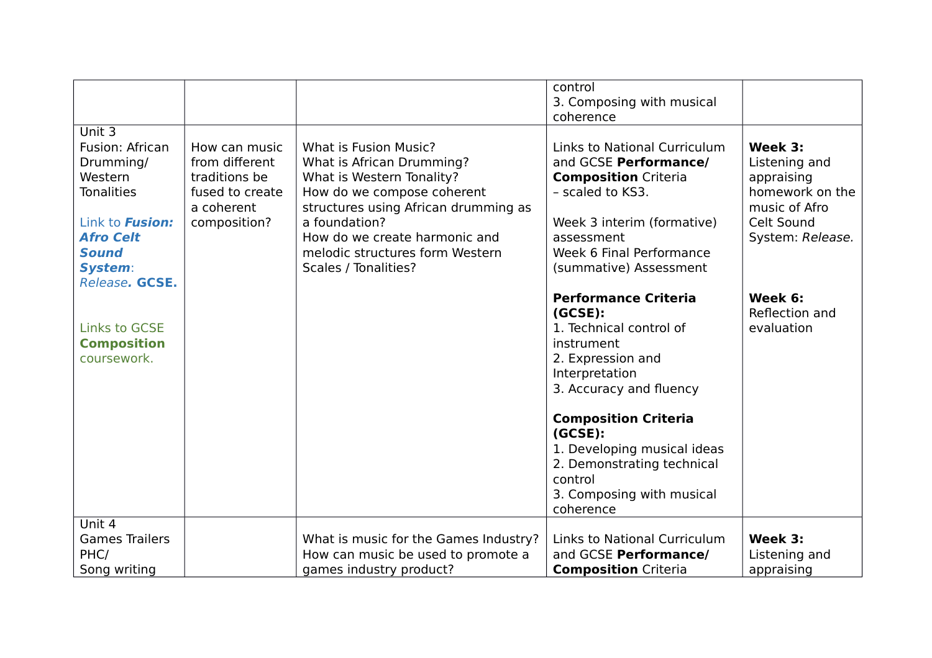|                                                                                                                                                        |                                                                                                   |                                                                                                                                                                                                                                                                    | control<br>3. Composing with musical<br>coherence                                                                                                                                                                                                                                                             |                                                                                                              |
|--------------------------------------------------------------------------------------------------------------------------------------------------------|---------------------------------------------------------------------------------------------------|--------------------------------------------------------------------------------------------------------------------------------------------------------------------------------------------------------------------------------------------------------------------|---------------------------------------------------------------------------------------------------------------------------------------------------------------------------------------------------------------------------------------------------------------------------------------------------------------|--------------------------------------------------------------------------------------------------------------|
| Unit 3<br>Fusion: African<br>Drumming/<br>Western<br><b>Tonalities</b><br>Link to <b>Fusion:</b><br><b>Afro Celt</b><br><b>Sound</b><br><b>System:</b> | How can music<br>from different<br>traditions be<br>fused to create<br>a coherent<br>composition? | What is Fusion Music?<br>What is African Drumming?<br>What is Western Tonality?<br>How do we compose coherent<br>structures using African drumming as<br>a foundation?<br>How do we create harmonic and<br>melodic structures form Western<br>Scales / Tonalities? | <b>Links to National Curriculum</b><br>and GCSE Performance/<br><b>Composition Criteria</b><br>- scaled to KS3.<br>Week 3 interim (formative)<br>assessment<br>Week 6 Final Performance<br>(summative) Assessment                                                                                             | Week 3:<br>Listening and<br>appraising<br>homework on the<br>music of Afro<br>Celt Sound<br>System: Release. |
| Release. GCSE.<br><b>Links to GCSE</b><br><b>Composition</b><br>coursework.                                                                            |                                                                                                   |                                                                                                                                                                                                                                                                    | <b>Performance Criteria</b><br>(GCSE):<br>1. Technical control of<br>instrument<br>2. Expression and<br>Interpretation<br>3. Accuracy and fluency<br><b>Composition Criteria</b><br>(GCSE):<br>1. Developing musical ideas<br>2. Demonstrating technical<br>control<br>3. Composing with musical<br>coherence | Week 6:<br>Reflection and<br>evaluation                                                                      |
| Unit 4<br><b>Games Trailers</b><br>PHC/<br>Song writing                                                                                                |                                                                                                   | What is music for the Games Industry?<br>How can music be used to promote a<br>games industry product?                                                                                                                                                             | Links to National Curriculum<br>and GCSE Performance/<br><b>Composition Criteria</b>                                                                                                                                                                                                                          | Week 3:<br>Listening and<br>appraising                                                                       |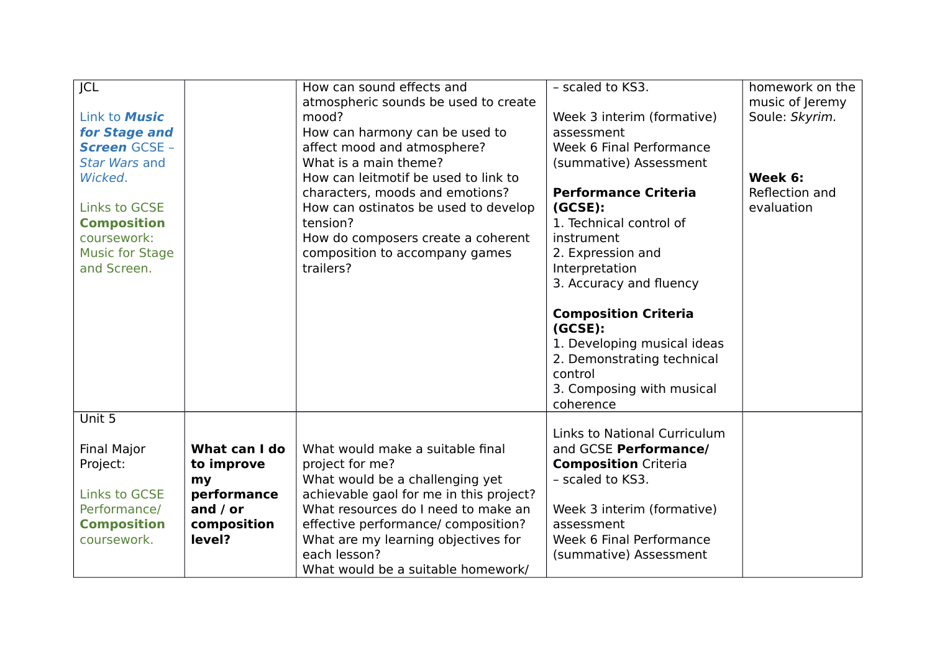| JCL                    |               | How can sound effects and               | - scaled to KS3.                                                                                                                                         | homework on the |
|------------------------|---------------|-----------------------------------------|----------------------------------------------------------------------------------------------------------------------------------------------------------|-----------------|
|                        |               | atmospheric sounds be used to create    |                                                                                                                                                          | music of Jeremy |
| Link to <b>Music</b>   |               | mood?                                   | Week 3 interim (formative)                                                                                                                               | Soule: Skyrim.  |
| for Stage and          |               | How can harmony can be used to          | assessment                                                                                                                                               |                 |
| <b>Screen GCSE -</b>   |               | affect mood and atmosphere?             | Week 6 Final Performance                                                                                                                                 |                 |
| <b>Star Wars and</b>   |               | What is a main theme?                   | (summative) Assessment                                                                                                                                   |                 |
| Wicked.                |               | How can leitmotif be used to link to    |                                                                                                                                                          | Week 6:         |
|                        |               | characters, moods and emotions?         | <b>Performance Criteria</b>                                                                                                                              | Reflection and  |
| <b>Links to GCSE</b>   |               | How can ostinatos be used to develop    | (GCSE):                                                                                                                                                  | evaluation      |
| <b>Composition</b>     |               | tension?                                | 1. Technical control of                                                                                                                                  |                 |
| coursework:            |               | How do composers create a coherent      | instrument                                                                                                                                               |                 |
| <b>Music for Stage</b> |               | composition to accompany games          | 2. Expression and                                                                                                                                        |                 |
| and Screen.            |               | trailers?                               | Interpretation                                                                                                                                           |                 |
|                        |               |                                         | 3. Accuracy and fluency                                                                                                                                  |                 |
|                        |               |                                         | <b>Composition Criteria</b><br>(GCSE):<br>1. Developing musical ideas<br>2. Demonstrating technical<br>control<br>3. Composing with musical<br>coherence |                 |
| Unit 5                 |               |                                         |                                                                                                                                                          |                 |
| <b>Final Major</b>     | What can I do | What would make a suitable final        | <b>Links to National Curriculum</b><br>and GCSE Performance/                                                                                             |                 |
| Project:               | to improve    | project for me?                         | <b>Composition Criteria</b>                                                                                                                              |                 |
|                        | my            | What would be a challenging yet         | - scaled to KS3.                                                                                                                                         |                 |
| <b>Links to GCSE</b>   | performance   | achievable gaol for me in this project? |                                                                                                                                                          |                 |
| Performance/           | and $/$ or    | What resources do I need to make an     | Week 3 interim (formative)                                                                                                                               |                 |
| <b>Composition</b>     | composition   | effective performance/ composition?     | assessment                                                                                                                                               |                 |
| coursework.            | level?        | What are my learning objectives for     | Week 6 Final Performance                                                                                                                                 |                 |
|                        |               | each lesson?                            | (summative) Assessment                                                                                                                                   |                 |
|                        |               | What would be a suitable homework/      |                                                                                                                                                          |                 |